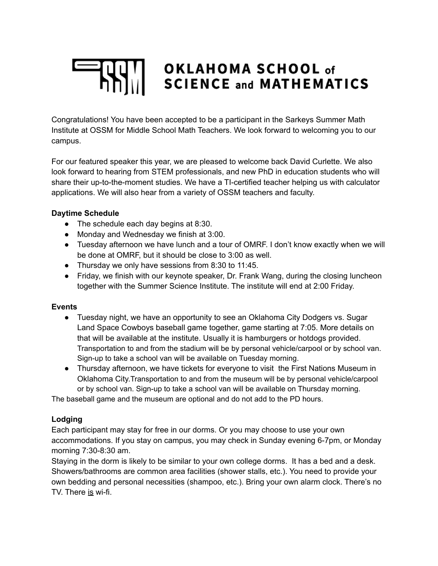# OKLAHOMA SCHOOL of **SCIENCE and MATHEMATICS**

Congratulations! You have been accepted to be a participant in the Sarkeys Summer Math Institute at OSSM for Middle School Math Teachers. We look forward to welcoming you to our campus.

For our featured speaker this year, we are pleased to welcome back David Curlette. We also look forward to hearing from STEM professionals, and new PhD in education students who will share their up-to-the-moment studies. We have a TI-certified teacher helping us with calculator applications. We will also hear from a variety of OSSM teachers and faculty.

## **Daytime Schedule**

- The schedule each day begins at 8:30.
- Monday and Wednesday we finish at 3:00.
- Tuesday afternoon we have lunch and a tour of OMRF. I don't know exactly when we will be done at OMRF, but it should be close to 3:00 as well.
- Thursday we only have sessions from 8:30 to 11:45.
- Friday, we finish with our keynote speaker, Dr. Frank Wang, during the closing luncheon together with the Summer Science Institute. The institute will end at 2:00 Friday.

#### **Events**

- Tuesday night, we have an opportunity to see an Oklahoma City Dodgers vs. Sugar Land Space Cowboys baseball game together, game starting at 7:05. More details on that will be available at the institute. Usually it is hamburgers or hotdogs provided. Transportation to and from the stadium will be by personal vehicle/carpool or by school van. Sign-up to take a school van will be available on Tuesday morning.
- Thursday afternoon, we have tickets for everyone to visit the First Nations Museum in Oklahoma City.Transportation to and from the museum will be by personal vehicle/carpool or by school van. Sign-up to take a school van will be available on Thursday morning.

The baseball game and the museum are optional and do not add to the PD hours.

# **Lodging**

Each participant may stay for free in our dorms. Or you may choose to use your own accommodations. If you stay on campus, you may check in Sunday evening 6-7pm, or Monday morning 7:30-8:30 am.

Staying in the dorm is likely to be similar to your own college dorms. It has a bed and a desk. Showers/bathrooms are common area facilities (shower stalls, etc.). You need to provide your own bedding and personal necessities (shampoo, etc.). Bring your own alarm clock. There's no TV. There is wi-fi.